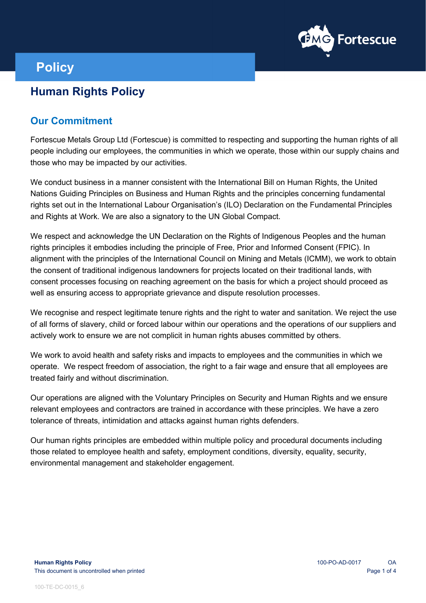

# **Policy**

## **Human Rights Policy**

#### **Our Commitment**

Fortescue Metals Group Ltd (Fortescue) is committed to respecting and supporting the human rights of all people including our employees, the communities in which we operate, those within our supply chains and those who may be impacted by our activities.

We conduct business in a manner consistent with the International Bill on Human Rights, the United Nations Guiding Principles on Business and Human Rights and the principles concerning fundamental rights set out in the International Labour Organisation's (ILO) Declaration on the Fundamental Principles and Rights at Work. We are also a signatory to the UN Global Compact.

We respect and acknowledge the UN Declaration on the Rights of Indigenous Peoples and the human rights principles it embodies including the principle of Free, Prior and Informed Consent (FPIC). In alignment with the principles of the International Council on Mining and Metals (ICMM), we work to obtain the consent of traditional indigenous landowners for projects located on their traditional lands, with consent processes focusing on reaching agreement on the basis for which a project should proceed as well as ensuring access to appropriate grievance and dispute resolution processes.

We recognise and respect legitimate tenure rights and the right to water and sanitation. We reject the use of all forms of slavery, child or forced labour within our operations and the operations of our suppliers and actively work to ensure we are not complicit in human rights abuses committed by others.

We work to avoid health and safety risks and impacts to employees and the communities in which we operate. We respect freedom of association, the right to a fair wage and ensure that all employees are treated fairly and without discrimination.

Our operations are aligned with the Voluntary Principles on Security and Human Rights and we ensure relevant employees and contractors are trained in accordance with these principles. We have a zero tolerance of threats, intimidation and attacks against human rights defenders.

Our human rights principles are embedded within multiple policy and procedural documents including those related to employee health and safety, employment conditions, diversity, equality, security, environmental management and stakeholder engagement.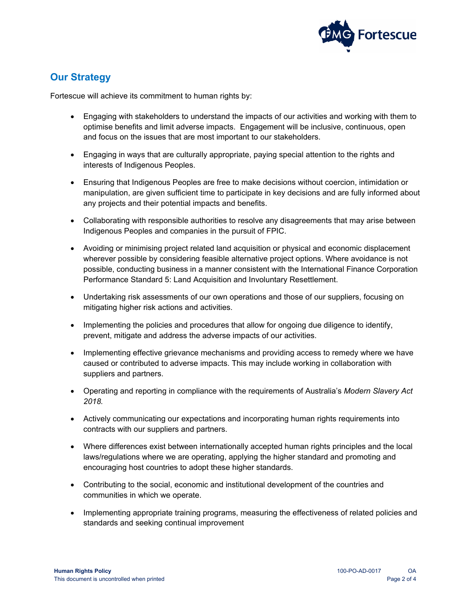

#### **Our Strategy**

Fortescue will achieve its commitment to human rights by:

- Engaging with stakeholders to understand the impacts of our activities and working with them to optimise benefits and limit adverse impacts. Engagement will be inclusive, continuous, open and focus on the issues that are most important to our stakeholders.
- Engaging in ways that are culturally appropriate, paying special attention to the rights and interests of Indigenous Peoples.
- Ensuring that Indigenous Peoples are free to make decisions without coercion, intimidation or manipulation, are given sufficient time to participate in key decisions and are fully informed about any projects and their potential impacts and benefits.
- Collaborating with responsible authorities to resolve any disagreements that may arise between Indigenous Peoples and companies in the pursuit of FPIC.
- Avoiding or minimising project related land acquisition or physical and economic displacement wherever possible by considering feasible alternative project options. Where avoidance is not possible, conducting business in a manner consistent with the International Finance Corporation Performance Standard 5: Land Acquisition and Involuntary Resettlement.
- Undertaking risk assessments of our own operations and those of our suppliers, focusing on mitigating higher risk actions and activities.
- Implementing the policies and procedures that allow for ongoing due diligence to identify, prevent, mitigate and address the adverse impacts of our activities.
- Implementing effective grievance mechanisms and providing access to remedy where we have caused or contributed to adverse impacts. This may include working in collaboration with suppliers and partners.
- Operating and reporting in compliance with the requirements of Australia's *Modern Slavery Act 2018.*
- Actively communicating our expectations and incorporating human rights requirements into contracts with our suppliers and partners.
- Where differences exist between internationally accepted human rights principles and the local laws/regulations where we are operating, applying the higher standard and promoting and encouraging host countries to adopt these higher standards.
- Contributing to the social, economic and institutional development of the countries and communities in which we operate.
- Implementing appropriate training programs, measuring the effectiveness of related policies and standards and seeking continual improvement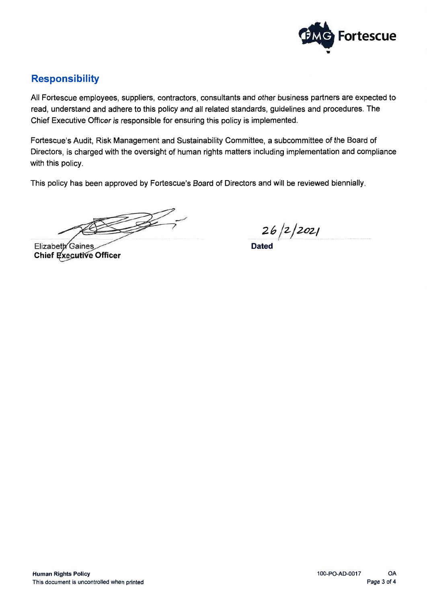

### **Responsibility**

All Fortescue employees, suppliers, contractors, consultants and other business partners are expected to read, understand and adhere to this policy and all related standards, guidelines and procedures. The Chief Executive Officer is responsible for ensuring this policy is implemented.

Fortescue's Audit, Risk Management and Sustainability Committee, a subcommittee of the Board of Directors, is charged with the oversight of human rights matters including implementation and compliance with this policy.

This policy has been approved by Fortescue's Board of Directors and will be reviewed biennially.

 $\mathbb{R}$ 

Elizabeth Gaines Chief Executive Officer

 $\frac{26}{2}$ /2/2021